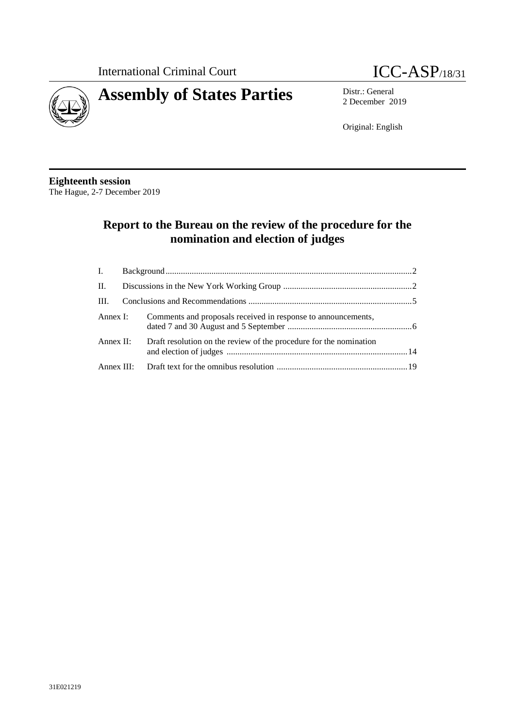



2 December 2019

Original: English

### **Eighteenth session** The Hague, 2-7 December 2019

# **Report to the Bureau on the review of the procedure for the nomination and election of judges**

|           |  | Annex I: Comments and proposals received in response to announcements, |  |
|-----------|--|------------------------------------------------------------------------|--|
| Annex II: |  | Draft resolution on the review of the procedure for the nomination     |  |
|           |  |                                                                        |  |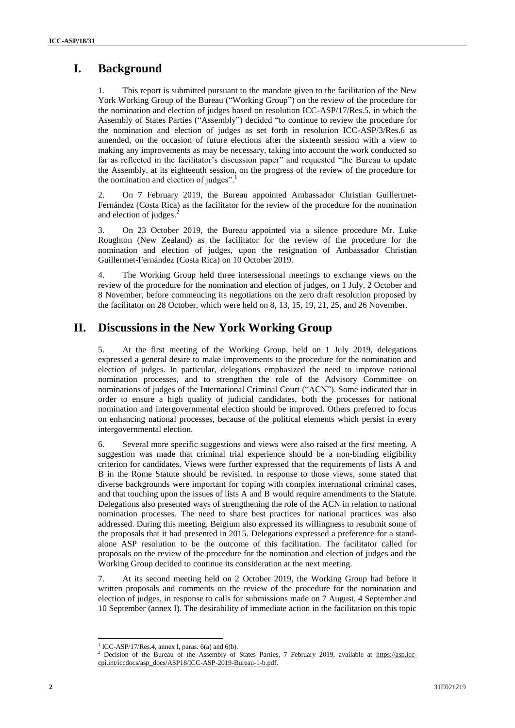# **I. Background**

This report is submitted pursuant to the mandate given to the facilitation of the New York Working Group of the Bureau ("Working Group") on the review of the procedure for the nomination and election of judges based on resolution ICC-ASP/17/Res.5, in which the Assembly of States Parties ("Assembly") decided "to continue to review the procedure for the nomination and election of judges as set forth in resolution ICC-ASP/3/Res.6 as amended, on the occasion of future elections after the sixteenth session with a view to making any improvements as may be necessary, taking into account the work conducted so far as reflected in the facilitator's discussion paper" and requested "the Bureau to update the Assembly, at its eighteenth session, on the progress of the review of the procedure for the nomination and election of judges".<sup>1</sup>

2. On 7 February 2019, the Bureau appointed Ambassador Christian Guillermet-Fernández (Costa Rica) as the facilitator for the review of the procedure for the nomination and election of judges. 2

3. On 23 October 2019, the Bureau appointed via a silence procedure Mr. Luke Roughton (New Zealand) as the facilitator for the review of the procedure for the nomination and election of judges, upon the resignation of Ambassador Christian Guillermet-Fernández (Costa Rica) on 10 October 2019.

4. The Working Group held three intersessional meetings to exchange views on the review of the procedure for the nomination and election of judges, on 1 July, 2 October and 8 November, before commencing its negotiations on the zero draft resolution proposed by the facilitator on 28 October, which were held on 8, 13, 15, 19, 21, 25, and 26 November.

# **II. Discussions in the New York Working Group**

5. At the first meeting of the Working Group, held on 1 July 2019, delegations expressed a general desire to make improvements to the procedure for the nomination and election of judges. In particular, delegations emphasized the need to improve national nomination processes, and to strengthen the role of the Advisory Committee on nominations of judges of the International Criminal Court ("ACN"). Some indicated that in order to ensure a high quality of judicial candidates, both the processes for national nomination and intergovernmental election should be improved. Others preferred to focus on enhancing national processes, because of the political elements which persist in every intergovernmental election.

6. Several more specific suggestions and views were also raised at the first meeting. A suggestion was made that criminal trial experience should be a non-binding eligibility criterion for candidates. Views were further expressed that the requirements of lists A and B in the Rome Statute should be revisited. In response to those views, some stated that diverse backgrounds were important for coping with complex international criminal cases, and that touching upon the issues of lists A and B would require amendments to the Statute. Delegations also presented ways of strengthening the role of the ACN in relation to national nomination processes. The need to share best practices for national practices was also addressed. During this meeting, Belgium also expressed its willingness to resubmit some of the proposals that it had presented in 2015. Delegations expressed a preference for a standalone ASP resolution to be the outcome of this facilitation. The facilitator called for proposals on the review of the procedure for the nomination and election of judges and the Working Group decided to continue its consideration at the next meeting.

7. At its second meeting held on 2 October 2019, the Working Group had before it written proposals and comments on the review of the procedure for the nomination and election of judges, in response to calls for submissions made on 7 August, 4 September and 10 September (annex I). The desirability of immediate action in the facilitation on this topic

 $\overline{\phantom{a}}$  $1$  ICC-ASP/17/Res.4, annex I, paras. 6(a) and 6(b).

Decision of the Bureau of the Assembly of States Parties, 7 February 2019, available at [https://asp.icc](https://asp.icc-cpi.int/iccdocs/asp_docs/ASP18/ICC-ASP-2019-Bureau-1-b.pdf)[cpi.int/iccdocs/asp\\_docs/ASP18/ICC-ASP-2019-Bureau-1-b.pdf.](https://asp.icc-cpi.int/iccdocs/asp_docs/ASP18/ICC-ASP-2019-Bureau-1-b.pdf)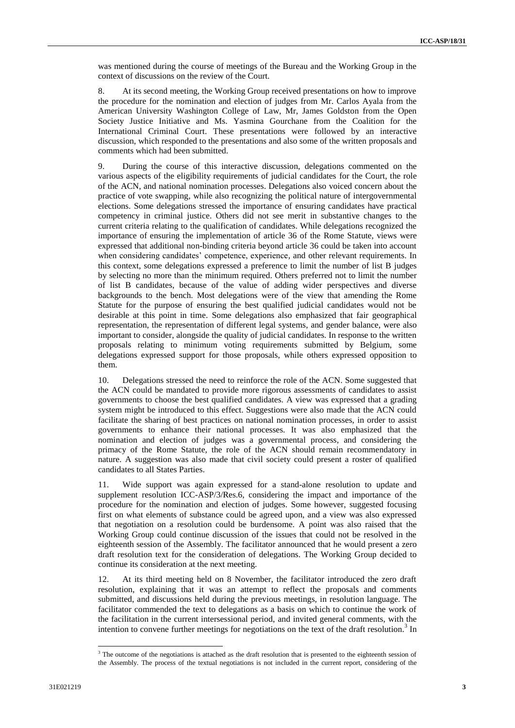was mentioned during the course of meetings of the Bureau and the Working Group in the context of discussions on the review of the Court.

8. At its second meeting, the Working Group received presentations on how to improve the procedure for the nomination and election of judges from Mr. Carlos Ayala from the American University Washington College of Law, Mr, James Goldston from the Open Society Justice Initiative and Ms. Yasmina Gourchane from the Coalition for the International Criminal Court. These presentations were followed by an interactive discussion, which responded to the presentations and also some of the written proposals and comments which had been submitted.

9. During the course of this interactive discussion, delegations commented on the various aspects of the eligibility requirements of judicial candidates for the Court, the role of the ACN, and national nomination processes. Delegations also voiced concern about the practice of vote swapping, while also recognizing the political nature of intergovernmental elections. Some delegations stressed the importance of ensuring candidates have practical competency in criminal justice. Others did not see merit in substantive changes to the current criteria relating to the qualification of candidates. While delegations recognized the importance of ensuring the implementation of article 36 of the Rome Statute, views were expressed that additional non-binding criteria beyond article 36 could be taken into account when considering candidates' competence, experience, and other relevant requirements. In this context, some delegations expressed a preference to limit the number of list B judges by selecting no more than the minimum required. Others preferred not to limit the number of list B candidates, because of the value of adding wider perspectives and diverse backgrounds to the bench. Most delegations were of the view that amending the Rome Statute for the purpose of ensuring the best qualified judicial candidates would not be desirable at this point in time. Some delegations also emphasized that fair geographical representation, the representation of different legal systems, and gender balance, were also important to consider, alongside the quality of judicial candidates. In response to the written proposals relating to minimum voting requirements submitted by Belgium, some delegations expressed support for those proposals, while others expressed opposition to them.

10. Delegations stressed the need to reinforce the role of the ACN. Some suggested that the ACN could be mandated to provide more rigorous assessments of candidates to assist governments to choose the best qualified candidates. A view was expressed that a grading system might be introduced to this effect. Suggestions were also made that the ACN could facilitate the sharing of best practices on national nomination processes, in order to assist governments to enhance their national processes. It was also emphasized that the nomination and election of judges was a governmental process, and considering the primacy of the Rome Statute, the role of the ACN should remain recommendatory in nature. A suggestion was also made that civil society could present a roster of qualified candidates to all States Parties.

11. Wide support was again expressed for a stand-alone resolution to update and supplement resolution ICC-ASP/3/Res.6, considering the impact and importance of the procedure for the nomination and election of judges. Some however, suggested focusing first on what elements of substance could be agreed upon, and a view was also expressed that negotiation on a resolution could be burdensome. A point was also raised that the Working Group could continue discussion of the issues that could not be resolved in the eighteenth session of the Assembly. The facilitator announced that he would present a zero draft resolution text for the consideration of delegations. The Working Group decided to continue its consideration at the next meeting.

12. At its third meeting held on 8 November, the facilitator introduced the zero draft resolution, explaining that it was an attempt to reflect the proposals and comments submitted, and discussions held during the previous meetings, in resolution language. The facilitator commended the text to delegations as a basis on which to continue the work of the facilitation in the current intersessional period, and invited general comments, with the intention to convene further meetings for negotiations on the text of the draft resolution.<sup>3</sup> In

 $\overline{a}$ 

<sup>&</sup>lt;sup>3</sup> The outcome of the negotiations is attached as the draft resolution that is presented to the eighteenth session of the Assembly. The process of the textual negotiations is not included in the current report, considering of the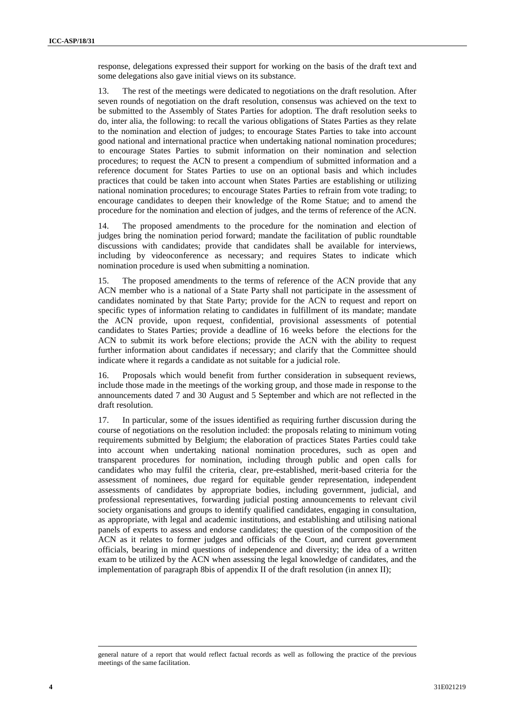response, delegations expressed their support for working on the basis of the draft text and some delegations also gave initial views on its substance.

13. The rest of the meetings were dedicated to negotiations on the draft resolution. After seven rounds of negotiation on the draft resolution, consensus was achieved on the text to be submitted to the Assembly of States Parties for adoption. The draft resolution seeks to do, inter alia, the following: to recall the various obligations of States Parties as they relate to the nomination and election of judges; to encourage States Parties to take into account good national and international practice when undertaking national nomination procedures; to encourage States Parties to submit information on their nomination and selection procedures; to request the ACN to present a compendium of submitted information and a reference document for States Parties to use on an optional basis and which includes practices that could be taken into account when States Parties are establishing or utilizing national nomination procedures; to encourage States Parties to refrain from vote trading; to encourage candidates to deepen their knowledge of the Rome Statue; and to amend the procedure for the nomination and election of judges, and the terms of reference of the ACN.

The proposed amendments to the procedure for the nomination and election of judges bring the nomination period forward; mandate the facilitation of public roundtable discussions with candidates; provide that candidates shall be available for interviews, including by videoconference as necessary; and requires States to indicate which nomination procedure is used when submitting a nomination.

15. The proposed amendments to the terms of reference of the ACN provide that any ACN member who is a national of a State Party shall not participate in the assessment of candidates nominated by that State Party; provide for the ACN to request and report on specific types of information relating to candidates in fulfillment of its mandate; mandate the ACN provide, upon request, confidential, provisional assessments of potential candidates to States Parties; provide a deadline of 16 weeks before the elections for the ACN to submit its work before elections; provide the ACN with the ability to request further information about candidates if necessary; and clarify that the Committee should indicate where it regards a candidate as not suitable for a judicial role.

16. Proposals which would benefit from further consideration in subsequent reviews, include those made in the meetings of the working group, and those made in response to the announcements dated 7 and 30 August and 5 September and which are not reflected in the draft resolution.

17. In particular, some of the issues identified as requiring further discussion during the course of negotiations on the resolution included: the proposals relating to minimum voting requirements submitted by Belgium; the elaboration of practices States Parties could take into account when undertaking national nomination procedures, such as open and transparent procedures for nomination, including through public and open calls for candidates who may fulfil the criteria, clear, pre-established, merit-based criteria for the assessment of nominees, due regard for equitable gender representation, independent assessments of candidates by appropriate bodies, including government, judicial, and professional representatives, forwarding judicial posting announcements to relevant civil society organisations and groups to identify qualified candidates, engaging in consultation, as appropriate, with legal and academic institutions, and establishing and utilising national panels of experts to assess and endorse candidates; the question of the composition of the ACN as it relates to former judges and officials of the Court, and current government officials, bearing in mind questions of independence and diversity; the idea of a written exam to be utilized by the ACN when assessing the legal knowledge of candidates, and the implementation of paragraph 8bis of appendix II of the draft resolution (in annex II);

 $\overline{a}$ 

general nature of a report that would reflect factual records as well as following the practice of the previous meetings of the same facilitation.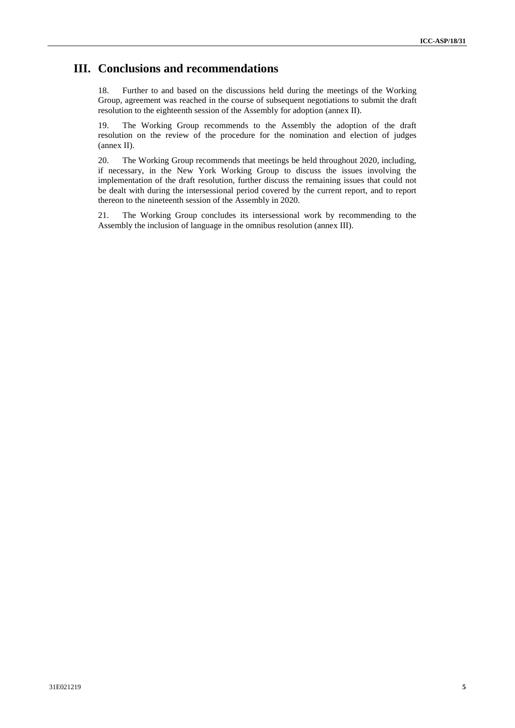## **III. Conclusions and recommendations**

18. Further to and based on the discussions held during the meetings of the Working Group, agreement was reached in the course of subsequent negotiations to submit the draft resolution to the eighteenth session of the Assembly for adoption (annex II).

19. The Working Group recommends to the Assembly the adoption of the draft resolution on the review of the procedure for the nomination and election of judges (annex II).

20. The Working Group recommends that meetings be held throughout 2020, including, if necessary, in the New York Working Group to discuss the issues involving the implementation of the draft resolution, further discuss the remaining issues that could not be dealt with during the intersessional period covered by the current report, and to report thereon to the nineteenth session of the Assembly in 2020.

21. The Working Group concludes its intersessional work by recommending to the Assembly the inclusion of language in the omnibus resolution (annex III).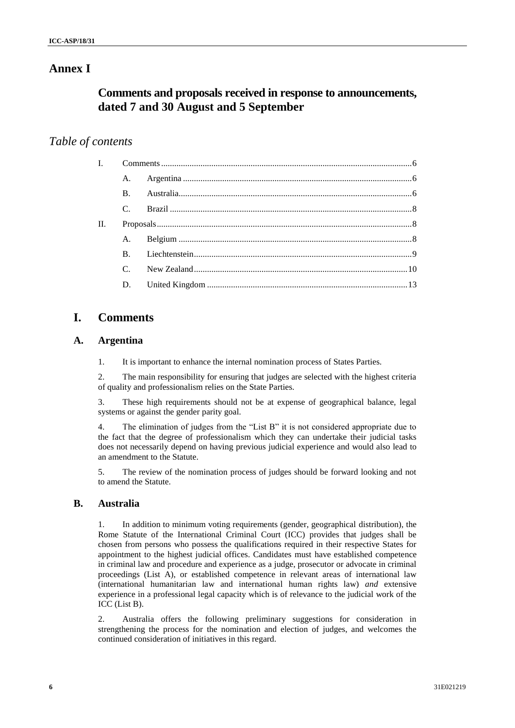## **Annex I**

# **Comments and proposals received in response to announcements, dated 7 and 30 August and 5 September**

## *Table of contents*

|    | $\mathbf{B}$ .  |  |  |
|----|-----------------|--|--|
|    | $C_{\cdot}$     |  |  |
| H. |                 |  |  |
|    |                 |  |  |
|    |                 |  |  |
|    | $\mathcal{C}$ . |  |  |
|    |                 |  |  |
|    |                 |  |  |

# **I. Comments**

## **A. Argentina**

1. It is important to enhance the internal nomination process of States Parties.

2. The main responsibility for ensuring that judges are selected with the highest criteria of quality and professionalism relies on the State Parties.

3. These high requirements should not be at expense of geographical balance, legal systems or against the gender parity goal.

4. The elimination of judges from the "List B" it is not considered appropriate due to the fact that the degree of professionalism which they can undertake their judicial tasks does not necessarily depend on having previous judicial experience and would also lead to an amendment to the Statute.

5. The review of the nomination process of judges should be forward looking and not to amend the Statute.

## **B. Australia**

1. In addition to minimum voting requirements (gender, geographical distribution), the Rome Statute of the International Criminal Court (ICC) provides that judges shall be chosen from persons who possess the qualifications required in their respective States for appointment to the highest judicial offices. Candidates must have established competence in criminal law and procedure and experience as a judge, prosecutor or advocate in criminal proceedings (List A), or established competence in relevant areas of international law (international humanitarian law and international human rights law) *and* extensive experience in a professional legal capacity which is of relevance to the judicial work of the ICC (List B).

2. Australia offers the following preliminary suggestions for consideration in strengthening the process for the nomination and election of judges, and welcomes the continued consideration of initiatives in this regard.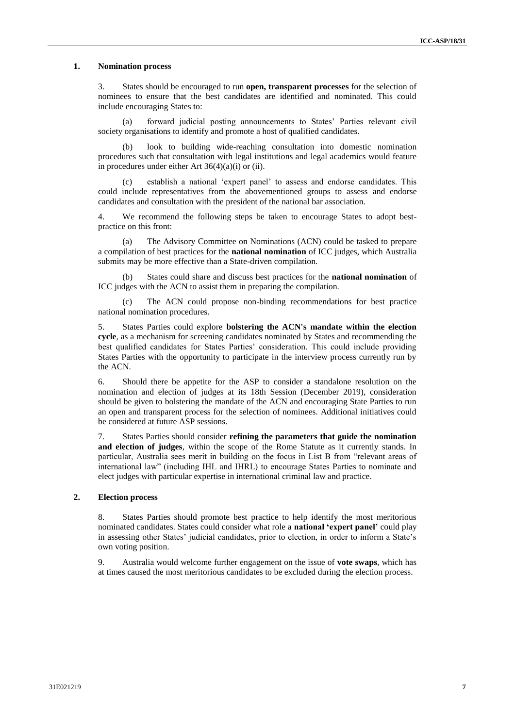#### **1. Nomination process**

3. States should be encouraged to run **open, transparent processes** for the selection of nominees to ensure that the best candidates are identified and nominated. This could include encouraging States to:

(a) forward judicial posting announcements to States' Parties relevant civil society organisations to identify and promote a host of qualified candidates.

(b) look to building wide-reaching consultation into domestic nomination procedures such that consultation with legal institutions and legal academics would feature in procedures under either Art  $36(4)(a)(i)$  or (ii).

establish a national 'expert panel' to assess and endorse candidates. This could include representatives from the abovementioned groups to assess and endorse candidates and consultation with the president of the national bar association.

4. We recommend the following steps be taken to encourage States to adopt bestpractice on this front:

(a) The Advisory Committee on Nominations (ACN) could be tasked to prepare a compilation of best practices for the **national nomination** of ICC judges, which Australia submits may be more effective than a State-driven compilation.

(b) States could share and discuss best practices for the **national nomination** of ICC judges with the ACN to assist them in preparing the compilation.

(c) The ACN could propose non-binding recommendations for best practice national nomination procedures.

5. States Parties could explore **bolstering the ACN's mandate within the election cycle**, as a mechanism for screening candidates nominated by States and recommending the best qualified candidates for States Parties' consideration. This could include providing States Parties with the opportunity to participate in the interview process currently run by the ACN.

6. Should there be appetite for the ASP to consider a standalone resolution on the nomination and election of judges at its 18th Session (December 2019), consideration should be given to bolstering the mandate of the ACN and encouraging State Parties to run an open and transparent process for the selection of nominees. Additional initiatives could be considered at future ASP sessions.

7. States Parties should consider **refining the parameters that guide the nomination and election of judges**, within the scope of the Rome Statute as it currently stands. In particular, Australia sees merit in building on the focus in List B from "relevant areas of international law" (including IHL and IHRL) to encourage States Parties to nominate and elect judges with particular expertise in international criminal law and practice.

#### **2. Election process**

8. States Parties should promote best practice to help identify the most meritorious nominated candidates. States could consider what role a **national 'expert panel'** could play in assessing other States' judicial candidates, prior to election, in order to inform a State's own voting position.

9. Australia would welcome further engagement on the issue of **vote swaps**, which has at times caused the most meritorious candidates to be excluded during the election process.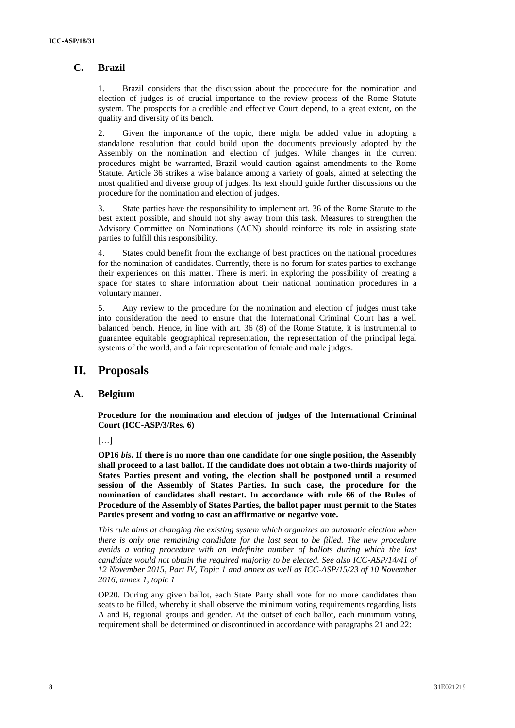## **C. Brazil**

1. Brazil considers that the discussion about the procedure for the nomination and election of judges is of crucial importance to the review process of the Rome Statute system. The prospects for a credible and effective Court depend, to a great extent, on the quality and diversity of its bench.

2. Given the importance of the topic, there might be added value in adopting a standalone resolution that could build upon the documents previously adopted by the Assembly on the nomination and election of judges. While changes in the current procedures might be warranted, Brazil would caution against amendments to the Rome Statute. Article 36 strikes a wise balance among a variety of goals, aimed at selecting the most qualified and diverse group of judges. Its text should guide further discussions on the procedure for the nomination and election of judges.

3. State parties have the responsibility to implement art. 36 of the Rome Statute to the best extent possible, and should not shy away from this task. Measures to strengthen the Advisory Committee on Nominations (ACN) should reinforce its role in assisting state parties to fulfill this responsibility.

4. States could benefit from the exchange of best practices on the national procedures for the nomination of candidates. Currently, there is no forum for states parties to exchange their experiences on this matter. There is merit in exploring the possibility of creating a space for states to share information about their national nomination procedures in a voluntary manner.

5. Any review to the procedure for the nomination and election of judges must take into consideration the need to ensure that the International Criminal Court has a well balanced bench. Hence, in line with art. 36 (8) of the Rome Statute, it is instrumental to guarantee equitable geographical representation, the representation of the principal legal systems of the world, and a fair representation of female and male judges.

## **II. Proposals**

## **A. Belgium**

**Procedure for the nomination and election of judges of the International Criminal Court (ICC-ASP/3/Res. 6)**

[…]

**OP16** *bis***. If there is no more than one candidate for one single position, the Assembly shall proceed to a last ballot. If the candidate does not obtain a two-thirds majority of States Parties present and voting, the election shall be postponed until a resumed session of the Assembly of States Parties. In such case, the procedure for the nomination of candidates shall restart. In accordance with rule 66 of the Rules of Procedure of the Assembly of States Parties, the ballot paper must permit to the States Parties present and voting to cast an affirmative or negative vote.** 

*This rule aims at changing the existing system which organizes an automatic election when there is only one remaining candidate for the last seat to be filled. The new procedure avoids a voting procedure with an indefinite number of ballots during which the last candidate would not obtain the required majority to be elected. See also ICC-ASP/14/41 of 12 November 2015, Part IV, Topic 1 and annex as well as ICC-ASP/15/23 of 10 November 2016, annex 1, topic 1*

OP20. During any given ballot, each State Party shall vote for no more candidates than seats to be filled, whereby it shall observe the minimum voting requirements regarding lists A and B, regional groups and gender. At the outset of each ballot, each minimum voting requirement shall be determined or discontinued in accordance with paragraphs 21 and 22: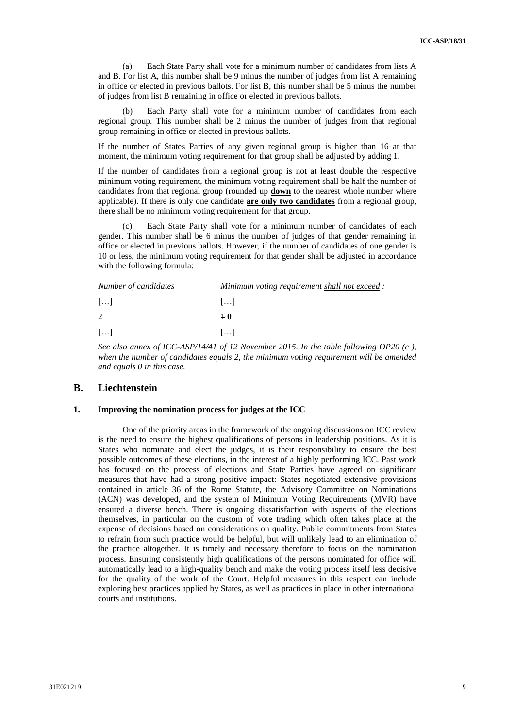(a) Each State Party shall vote for a minimum number of candidates from lists A and B. For list A, this number shall be 9 minus the number of judges from list A remaining in office or elected in previous ballots. For list B, this number shall be 5 minus the number of judges from list B remaining in office or elected in previous ballots.

Each Party shall vote for a minimum number of candidates from each regional group. This number shall be 2 minus the number of judges from that regional group remaining in office or elected in previous ballots.

If the number of States Parties of any given regional group is higher than 16 at that moment, the minimum voting requirement for that group shall be adjusted by adding 1.

If the number of candidates from a regional group is not at least double the respective minimum voting requirement, the minimum voting requirement shall be half the number of candidates from that regional group (rounded  $\theta$  **down** to the nearest whole number where applicable). If there is only one candidate **are only two candidates** from a regional group, there shall be no minimum voting requirement for that group.

Each State Party shall vote for a minimum number of candidates of each gender. This number shall be 6 minus the number of judges of that gender remaining in office or elected in previous ballots. However, if the number of candidates of one gender is 10 or less, the minimum voting requirement for that gender shall be adjusted in accordance with the following formula:

| Number of candidates  | Minimum voting requirement shall not exceed : |  |  |
|-----------------------|-----------------------------------------------|--|--|
| $\left[\ldots\right]$ | 11                                            |  |  |
| 2                     | $+0$                                          |  |  |
| $\left[\ldots\right]$ | 11                                            |  |  |

*See also annex of ICC-ASP/14/41 of 12 November 2015. In the table following OP20 (c ), when the number of candidates equals 2, the minimum voting requirement will be amended and equals 0 in this case.*

#### **B. Liechtenstein**

#### **1. Improving the nomination process for judges at the ICC**

One of the priority areas in the framework of the ongoing discussions on ICC review is the need to ensure the highest qualifications of persons in leadership positions. As it is States who nominate and elect the judges, it is their responsibility to ensure the best possible outcomes of these elections, in the interest of a highly performing ICC. Past work has focused on the process of elections and State Parties have agreed on significant measures that have had a strong positive impact: States negotiated extensive provisions contained in article 36 of the Rome Statute, the Advisory Committee on Nominations (ACN) was developed, and the system of Minimum Voting Requirements (MVR) have ensured a diverse bench. There is ongoing dissatisfaction with aspects of the elections themselves, in particular on the custom of vote trading which often takes place at the expense of decisions based on considerations on quality. Public commitments from States to refrain from such practice would be helpful, but will unlikely lead to an elimination of the practice altogether. It is timely and necessary therefore to focus on the nomination process. Ensuring consistently high qualifications of the persons nominated for office will automatically lead to a high-quality bench and make the voting process itself less decisive for the quality of the work of the Court. Helpful measures in this respect can include exploring best practices applied by States, as well as practices in place in other international courts and institutions.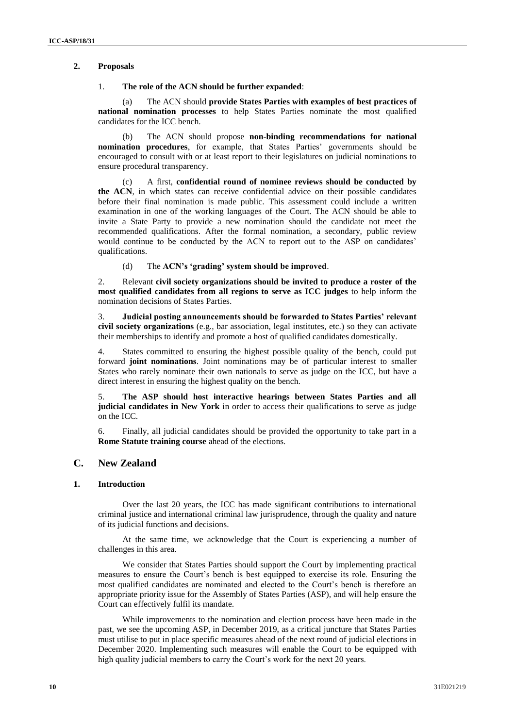#### **2. Proposals**

#### 1. **The role of the ACN should be further expanded**:

The ACN should **provide States Parties with examples of best practices of national nomination processes** to help States Parties nominate the most qualified candidates for the ICC bench.

(b) The ACN should propose **non-binding recommendations for national nomination procedures**, for example, that States Parties' governments should be encouraged to consult with or at least report to their legislatures on judicial nominations to ensure procedural transparency.

(c) A first, **confidential round of nominee reviews should be conducted by the ACN**, in which states can receive confidential advice on their possible candidates before their final nomination is made public. This assessment could include a written examination in one of the working languages of the Court. The ACN should be able to invite a State Party to provide a new nomination should the candidate not meet the recommended qualifications. After the formal nomination, a secondary, public review would continue to be conducted by the ACN to report out to the ASP on candidates' qualifications.

(d) The **ACN's 'grading' system should be improved**.

2. Relevant **civil society organizations should be invited to produce a roster of the most qualified candidates from all regions to serve as ICC judges** to help inform the nomination decisions of States Parties.

3. **Judicial posting announcements should be forwarded to States Parties' relevant civil society organizations** (e.g., bar association, legal institutes, etc.) so they can activate their memberships to identify and promote a host of qualified candidates domestically.

4. States committed to ensuring the highest possible quality of the bench, could put forward **joint nominations**. Joint nominations may be of particular interest to smaller States who rarely nominate their own nationals to serve as judge on the ICC, but have a direct interest in ensuring the highest quality on the bench.

5. **The ASP should host interactive hearings between States Parties and all judicial candidates in New York** in order to access their qualifications to serve as judge on the ICC.

6. Finally, all judicial candidates should be provided the opportunity to take part in a **Rome Statute training course** ahead of the elections.

## **C. New Zealand**

#### **1. Introduction**

Over the last 20 years, the ICC has made significant contributions to international criminal justice and international criminal law jurisprudence, through the quality and nature of its judicial functions and decisions.

At the same time, we acknowledge that the Court is experiencing a number of challenges in this area.

We consider that States Parties should support the Court by implementing practical measures to ensure the Court's bench is best equipped to exercise its role. Ensuring the most qualified candidates are nominated and elected to the Court's bench is therefore an appropriate priority issue for the Assembly of States Parties (ASP), and will help ensure the Court can effectively fulfil its mandate.

While improvements to the nomination and election process have been made in the past, we see the upcoming ASP, in December 2019, as a critical juncture that States Parties must utilise to put in place specific measures ahead of the next round of judicial elections in December 2020. Implementing such measures will enable the Court to be equipped with high quality judicial members to carry the Court's work for the next 20 years.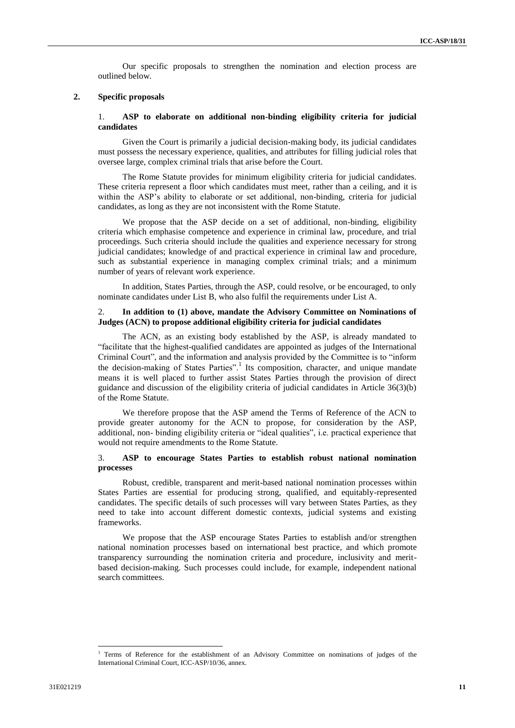Our specific proposals to strengthen the nomination and election process are outlined below.

#### **2. Specific proposals**

#### 1. **ASP to elaborate on additional non-binding eligibility criteria for judicial candidates**

Given the Court is primarily a judicial decision-making body, its judicial candidates must possess the necessary experience, qualities, and attributes for filling judicial roles that oversee large, complex criminal trials that arise before the Court.

The Rome Statute provides for minimum eligibility criteria for judicial candidates. These criteria represent a floor which candidates must meet, rather than a ceiling, and it is within the ASP's ability to elaborate or set additional, non-binding, criteria for judicial candidates, as long as they are not inconsistent with the Rome Statute.

We propose that the ASP decide on a set of additional, non-binding, eligibility criteria which emphasise competence and experience in criminal law, procedure, and trial proceedings. Such criteria should include the qualities and experience necessary for strong judicial candidates; knowledge of and practical experience in criminal law and procedure, such as substantial experience in managing complex criminal trials; and a minimum number of years of relevant work experience.

In addition, States Parties, through the ASP, could resolve, or be encouraged, to only nominate candidates under List B, who also fulfil the requirements under List A.

#### 2. **In addition to (1) above, mandate the Advisory Committee on Nominations of Judges (ACN) to propose additional eligibility criteria for judicial candidates**

The ACN, as an existing body established by the ASP, is already mandated to "facilitate that the highest-qualified candidates are appointed as judges of the International Criminal Court", and the information and analysis provided by the Committee is to "inform the decision-making of States Parties".<sup>1</sup> Its composition, character, and unique mandate means it is well placed to further assist States Parties through the provision of direct guidance and discussion of the eligibility criteria of judicial candidates in Article 36(3)(b) of the Rome Statute.

We therefore propose that the ASP amend the Terms of Reference of the ACN to provide greater autonomy for the ACN to propose, for consideration by the ASP, additional, non- binding eligibility criteria or "ideal qualities", i.e. practical experience that would not require amendments to the Rome Statute.

#### 3. **ASP to encourage States Parties to establish robust national nomination processes**

Robust, credible, transparent and merit-based national nomination processes within States Parties are essential for producing strong, qualified, and equitably-represented candidates. The specific details of such processes will vary between States Parties, as they need to take into account different domestic contexts, judicial systems and existing frameworks.

We propose that the ASP encourage States Parties to establish and/or strengthen national nomination processes based on international best practice, and which promote transparency surrounding the nomination criteria and procedure, inclusivity and meritbased decision-making. Such processes could include, for example, independent national search committees.

 $\overline{a}$ 

<sup>&</sup>lt;sup>1</sup> Terms of Reference for the establishment of an Advisory Committee on nominations of judges of the International Criminal Court, ICC-ASP/10/36, annex.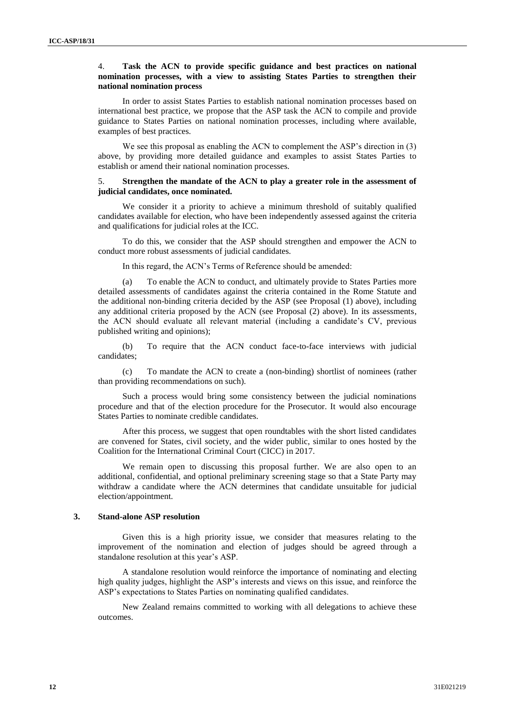#### 4. **Task the ACN to provide specific guidance and best practices on national nomination processes, with a view to assisting States Parties to strengthen their national nomination process**

In order to assist States Parties to establish national nomination processes based on international best practice, we propose that the ASP task the ACN to compile and provide guidance to States Parties on national nomination processes, including where available, examples of best practices.

We see this proposal as enabling the ACN to complement the ASP's direction in (3) above, by providing more detailed guidance and examples to assist States Parties to establish or amend their national nomination processes.

#### 5. **Strengthen the mandate of the ACN to play a greater role in the assessment of judicial candidates, once nominated.**

We consider it a priority to achieve a minimum threshold of suitably qualified candidates available for election, who have been independently assessed against the criteria and qualifications for judicial roles at the ICC.

To do this, we consider that the ASP should strengthen and empower the ACN to conduct more robust assessments of judicial candidates.

In this regard, the ACN's Terms of Reference should be amended:

(a) To enable the ACN to conduct, and ultimately provide to States Parties more detailed assessments of candidates against the criteria contained in the Rome Statute and the additional non-binding criteria decided by the ASP (see Proposal (1) above), including any additional criteria proposed by the ACN (see Proposal (2) above). In its assessments, the ACN should evaluate all relevant material (including a candidate's CV, previous published writing and opinions);

(b) To require that the ACN conduct face-to-face interviews with judicial candidates;

(c) To mandate the ACN to create a (non-binding) shortlist of nominees (rather than providing recommendations on such).

Such a process would bring some consistency between the judicial nominations procedure and that of the election procedure for the Prosecutor. It would also encourage States Parties to nominate credible candidates.

After this process, we suggest that open roundtables with the short listed candidates are convened for States, civil society, and the wider public, similar to ones hosted by the Coalition for the International Criminal Court (CICC) in 2017.

We remain open to discussing this proposal further. We are also open to an additional, confidential, and optional preliminary screening stage so that a State Party may withdraw a candidate where the ACN determines that candidate unsuitable for judicial election/appointment.

#### **3. Stand-alone ASP resolution**

Given this is a high priority issue, we consider that measures relating to the improvement of the nomination and election of judges should be agreed through a standalone resolution at this year's ASP.

A standalone resolution would reinforce the importance of nominating and electing high quality judges, highlight the ASP's interests and views on this issue, and reinforce the ASP's expectations to States Parties on nominating qualified candidates.

New Zealand remains committed to working with all delegations to achieve these outcomes.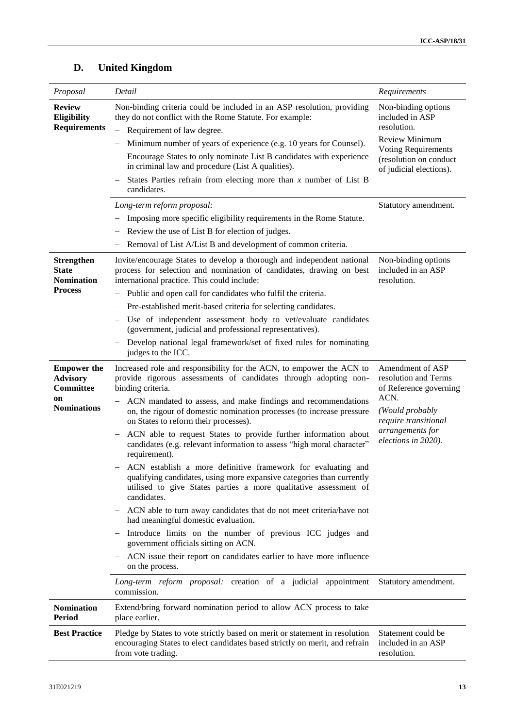| Proposal                                                  | Detail                                                                                                                                                                                                                   | Requirements                                                                               |
|-----------------------------------------------------------|--------------------------------------------------------------------------------------------------------------------------------------------------------------------------------------------------------------------------|--------------------------------------------------------------------------------------------|
| <b>Review</b><br>Eligibility<br><b>Requirements</b>       | Non-binding criteria could be included in an ASP resolution, providing<br>they do not conflict with the Rome Statute. For example:                                                                                       | Non-binding options<br>included in ASP<br>resolution.                                      |
|                                                           | Requirement of law degree.<br>$\overline{\phantom{0}}$                                                                                                                                                                   | <b>Review Minimum</b>                                                                      |
|                                                           | Minimum number of years of experience (e.g. 10 years for Counsel).<br>Encourage States to only nominate List B candidates with experience                                                                                | <b>Voting Requirements</b><br>(resolution on conduct<br>of judicial elections).            |
|                                                           | in criminal law and procedure (List A qualities).                                                                                                                                                                        |                                                                                            |
|                                                           | States Parties refrain from electing more than $x$ number of List B<br>candidates.                                                                                                                                       |                                                                                            |
|                                                           | Long-term reform proposal:                                                                                                                                                                                               | Statutory amendment.                                                                       |
|                                                           | Imposing more specific eligibility requirements in the Rome Statute.                                                                                                                                                     |                                                                                            |
|                                                           | Review the use of List B for election of judges.                                                                                                                                                                         |                                                                                            |
|                                                           | Removal of List A/List B and development of common criteria.                                                                                                                                                             |                                                                                            |
| <b>Strengthen</b><br><b>State</b><br><b>Nomination</b>    | Invite/encourage States to develop a thorough and independent national<br>process for selection and nomination of candidates, drawing on best<br>international practice. This could include:                             | Non-binding options<br>included in an ASP<br>resolution.                                   |
| <b>Process</b>                                            | Public and open call for candidates who fulfil the criteria.<br>$\overline{\phantom{0}}$                                                                                                                                 |                                                                                            |
|                                                           | Pre-established merit-based criteria for selecting candidates.                                                                                                                                                           |                                                                                            |
|                                                           | Use of independent assessment body to vet/evaluate candidates<br>(government, judicial and professional representatives).                                                                                                |                                                                                            |
|                                                           | Develop national legal framework/set of fixed rules for nominating<br>judges to the ICC.                                                                                                                                 |                                                                                            |
| <b>Empower</b> the<br><b>Advisory</b><br><b>Committee</b> | Increased role and responsibility for the ACN, to empower the ACN to<br>provide rigorous assessments of candidates through adopting non-<br>binding criteria.                                                            | Amendment of ASP<br>resolution and Terms<br>of Reference governing                         |
| on<br><b>Nominations</b>                                  | ACN mandated to assess, and make findings and recommendations<br>on, the rigour of domestic nomination processes (to increase pressure<br>on States to reform their processes).                                          | ACN.<br>(Would probably<br>require transitional<br>arrangements for<br>elections in 2020). |
|                                                           | ACN able to request States to provide further information about<br>$\overline{\phantom{m}}$<br>candidates (e.g. relevant information to assess "high moral character"<br>requirement).                                   |                                                                                            |
|                                                           | ACN establish a more definitive framework for evaluating and<br>qualifying candidates, using more expansive categories than currently<br>utilised to give States parties a more qualitative assessment of<br>candidates. |                                                                                            |
|                                                           | ACN able to turn away candidates that do not meet criteria/have not<br>had meaningful domestic evaluation.                                                                                                               |                                                                                            |
|                                                           | Introduce limits on the number of previous ICC judges and<br>government officials sitting on ACN.                                                                                                                        |                                                                                            |
|                                                           | ACN issue their report on candidates earlier to have more influence<br>on the process.                                                                                                                                   |                                                                                            |
|                                                           | Long-term reform proposal: creation of a judicial appointment<br>commission.                                                                                                                                             | Statutory amendment.                                                                       |
| <b>Nomination</b><br><b>Period</b>                        | Extend/bring forward nomination period to allow ACN process to take<br>place earlier.                                                                                                                                    |                                                                                            |
| <b>Best Practice</b>                                      | Pledge by States to vote strictly based on merit or statement in resolution<br>encouraging States to elect candidates based strictly on merit, and refrain<br>from vote trading.                                         | Statement could be<br>included in an ASP<br>resolution.                                    |
|                                                           |                                                                                                                                                                                                                          |                                                                                            |

# **D. United Kingdom**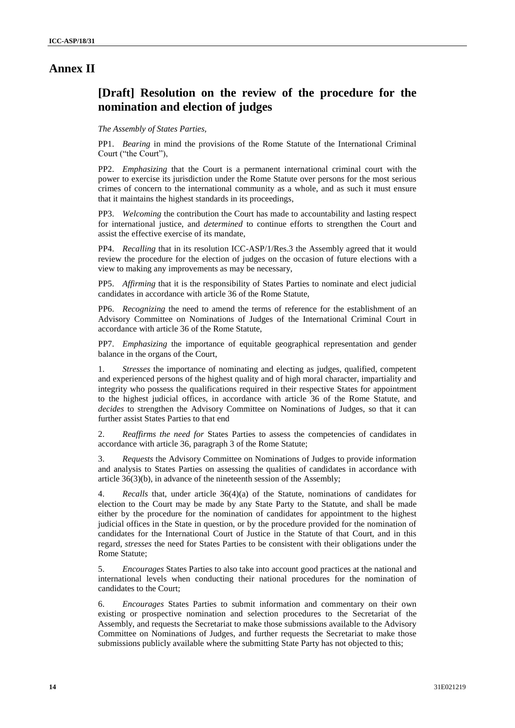## **Annex II**

# **[Draft] Resolution on the review of the procedure for the nomination and election of judges**

#### *The Assembly of States Parties,*

PP1. *Bearing* in mind the provisions of the Rome Statute of the International Criminal Court ("the Court"),

PP2. *Emphasizing* that the Court is a permanent international criminal court with the power to exercise its jurisdiction under the Rome Statute over persons for the most serious crimes of concern to the international community as a whole, and as such it must ensure that it maintains the highest standards in its proceedings,

PP3. *Welcoming* the contribution the Court has made to accountability and lasting respect for international justice, and *determined* to continue efforts to strengthen the Court and assist the effective exercise of its mandate,

PP4. *Recalling* that in its resolution ICC-ASP/1/Res.3 the Assembly agreed that it would review the procedure for the election of judges on the occasion of future elections with a view to making any improvements as may be necessary,

PP5. *Affirming* that it is the responsibility of States Parties to nominate and elect judicial candidates in accordance with article 36 of the Rome Statute,

PP6. *Recognizing* the need to amend the terms of reference for the establishment of an Advisory Committee on Nominations of Judges of the International Criminal Court in accordance with article 36 of the Rome Statute,

PP7. *Emphasizing* the importance of equitable geographical representation and gender balance in the organs of the Court,

1. *Stresses* the importance of nominating and electing as judges, qualified, competent and experienced persons of the highest quality and of high moral character, impartiality and integrity who possess the qualifications required in their respective States for appointment to the highest judicial offices, in accordance with article 36 of the Rome Statute, and *decides* to strengthen the Advisory Committee on Nominations of Judges, so that it can further assist States Parties to that end

2. *Reaffirms the need for* States Parties to assess the competencies of candidates in accordance with article 36, paragraph 3 of the Rome Statute;

3. *Requests* the Advisory Committee on Nominations of Judges to provide information and analysis to States Parties on assessing the qualities of candidates in accordance with article 36(3)(b), in advance of the nineteenth session of the Assembly;

4. *Recalls* that, under article 36(4)(a) of the Statute, nominations of candidates for election to the Court may be made by any State Party to the Statute, and shall be made either by the procedure for the nomination of candidates for appointment to the highest judicial offices in the State in question, or by the procedure provided for the nomination of candidates for the International Court of Justice in the Statute of that Court, and in this regard, *stresses* the need for States Parties to be consistent with their obligations under the Rome Statute;

5. *Encourages* States Parties to also take into account good practices at the national and international levels when conducting their national procedures for the nomination of candidates to the Court;

6. *Encourages* States Parties to submit information and commentary on their own existing or prospective nomination and selection procedures to the Secretariat of the Assembly, and requests the Secretariat to make those submissions available to the Advisory Committee on Nominations of Judges, and further requests the Secretariat to make those submissions publicly available where the submitting State Party has not objected to this;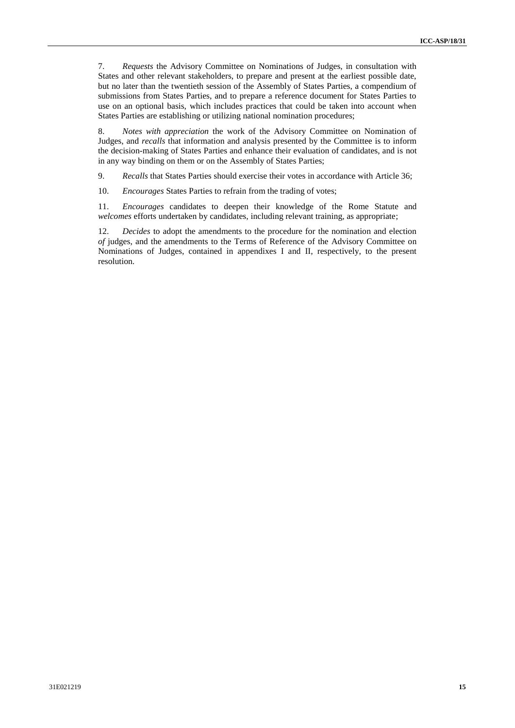7. *Requests* the Advisory Committee on Nominations of Judges, in consultation with States and other relevant stakeholders, to prepare and present at the earliest possible date, but no later than the twentieth session of the Assembly of States Parties, a compendium of submissions from States Parties, and to prepare a reference document for States Parties to use on an optional basis, which includes practices that could be taken into account when States Parties are establishing or utilizing national nomination procedures;

8. *Notes with appreciation* the work of the Advisory Committee on Nomination of Judges, and *recalls* that information and analysis presented by the Committee is to inform the decision-making of States Parties and enhance their evaluation of candidates, and is not in any way binding on them or on the Assembly of States Parties;

9. *Recalls* that States Parties should exercise their votes in accordance with Article 36;

10. *Encourages* States Parties to refrain from the trading of votes;

11. *Encourages* candidates to deepen their knowledge of the Rome Statute and *welcomes* efforts undertaken by candidates, including relevant training, as appropriate;

12. *Decides* to adopt the amendments to the procedure for the nomination and election *of* judges, and the amendments to the Terms of Reference of the Advisory Committee on Nominations of Judges, contained in appendixes I and II, respectively, to the present resolution.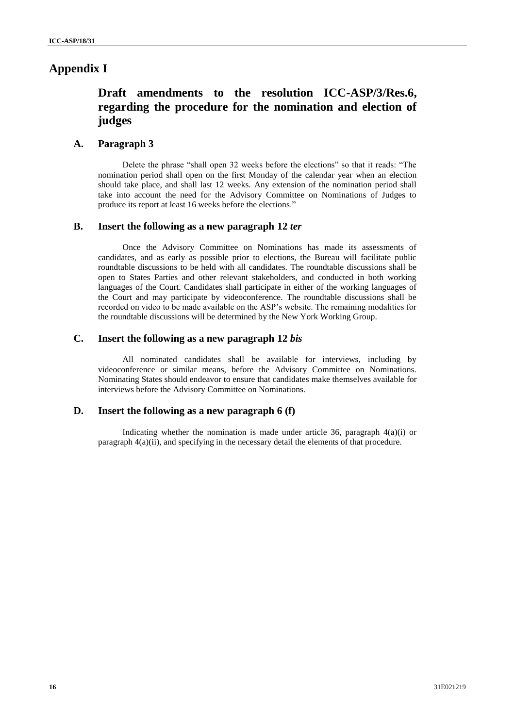# **Appendix I**

# **Draft amendments to the resolution ICC-ASP/3/Res.6, regarding the procedure for the nomination and election of judges**

## **A. Paragraph 3**

Delete the phrase "shall open 32 weeks before the elections" so that it reads: "The nomination period shall open on the first Monday of the calendar year when an election should take place, and shall last 12 weeks. Any extension of the nomination period shall take into account the need for the Advisory Committee on Nominations of Judges to produce its report at least 16 weeks before the elections."

### **B. Insert the following as a new paragraph 12** *ter*

Once the Advisory Committee on Nominations has made its assessments of candidates, and as early as possible prior to elections, the Bureau will facilitate public roundtable discussions to be held with all candidates. The roundtable discussions shall be open to States Parties and other relevant stakeholders, and conducted in both working languages of the Court. Candidates shall participate in either of the working languages of the Court and may participate by videoconference. The roundtable discussions shall be recorded on video to be made available on the ASP's website. The remaining modalities for the roundtable discussions will be determined by the New York Working Group.

### **C. Insert the following as a new paragraph 12** *bis*

All nominated candidates shall be available for interviews, including by videoconference or similar means, before the Advisory Committee on Nominations. Nominating States should endeavor to ensure that candidates make themselves available for interviews before the Advisory Committee on Nominations.

## **D. Insert the following as a new paragraph 6 (f)**

Indicating whether the nomination is made under article 36, paragraph  $4(a)(i)$  or paragraph  $4(a)(ii)$ , and specifying in the necessary detail the elements of that procedure.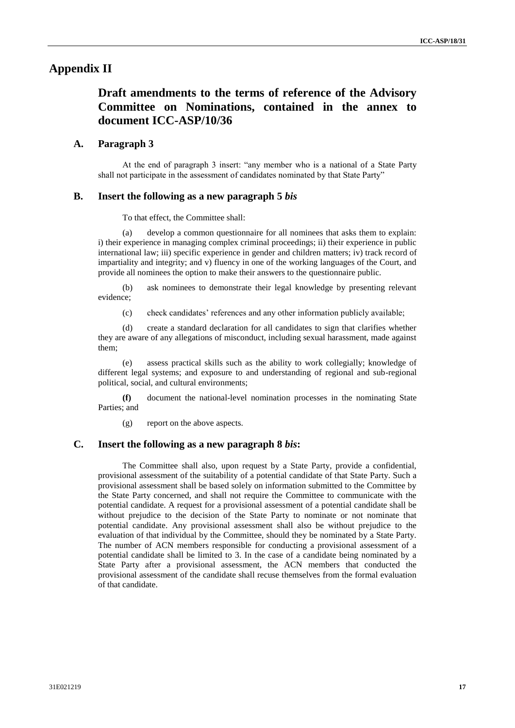## **Appendix II**

# **Draft amendments to the terms of reference of the Advisory Committee on Nominations, contained in the annex to document ICC-ASP/10/36**

#### **A. Paragraph 3**

At the end of paragraph 3 insert: "any member who is a national of a State Party shall not participate in the assessment of candidates nominated by that State Party"

### **B. Insert the following as a new paragraph 5** *bis*

To that effect, the Committee shall:

(a) develop a common questionnaire for all nominees that asks them to explain: i) their experience in managing complex criminal proceedings; ii) their experience in public international law; iii) specific experience in gender and children matters; iv) track record of impartiality and integrity; and v) fluency in one of the working languages of the Court, and provide all nominees the option to make their answers to the questionnaire public.

(b) ask nominees to demonstrate their legal knowledge by presenting relevant evidence;

(c) check candidates' references and any other information publicly available;

(d) create a standard declaration for all candidates to sign that clarifies whether they are aware of any allegations of misconduct, including sexual harassment, made against them;

(e) assess practical skills such as the ability to work collegially; knowledge of different legal systems; and exposure to and understanding of regional and sub-regional political, social, and cultural environments;

**(f)** document the national-level nomination processes in the nominating State Parties; and

(g) report on the above aspects.

### **C. Insert the following as a new paragraph 8** *bis***:**

The Committee shall also, upon request by a State Party, provide a confidential, provisional assessment of the suitability of a potential candidate of that State Party. Such a provisional assessment shall be based solely on information submitted to the Committee by the State Party concerned, and shall not require the Committee to communicate with the potential candidate. A request for a provisional assessment of a potential candidate shall be without prejudice to the decision of the State Party to nominate or not nominate that potential candidate. Any provisional assessment shall also be without prejudice to the evaluation of that individual by the Committee, should they be nominated by a State Party. The number of ACN members responsible for conducting a provisional assessment of a potential candidate shall be limited to 3. In the case of a candidate being nominated by a State Party after a provisional assessment, the ACN members that conducted the provisional assessment of the candidate shall recuse themselves from the formal evaluation of that candidate.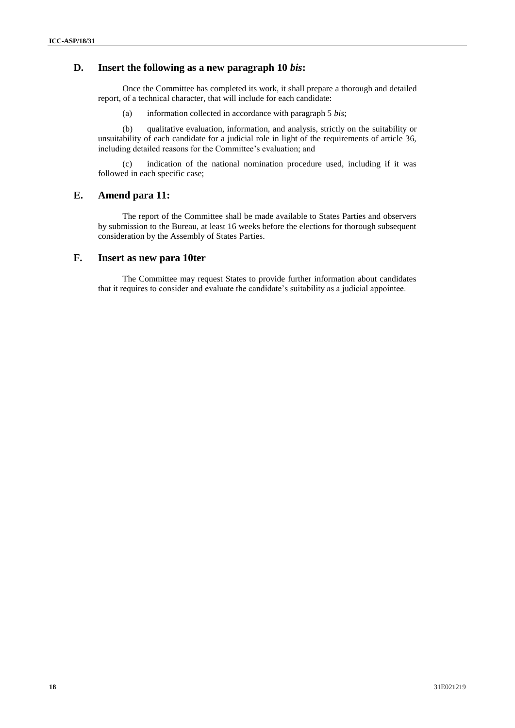## **D. Insert the following as a new paragraph 10** *bis***:**

Once the Committee has completed its work, it shall prepare a thorough and detailed report, of a technical character, that will include for each candidate:

(a) information collected in accordance with paragraph 5 *bis*;

(b) qualitative evaluation, information, and analysis, strictly on the suitability or unsuitability of each candidate for a judicial role in light of the requirements of article 36, including detailed reasons for the Committee's evaluation; and

(c) indication of the national nomination procedure used, including if it was followed in each specific case;

## **E. Amend para 11:**

The report of the Committee shall be made available to States Parties and observers by submission to the Bureau, at least 16 weeks before the elections for thorough subsequent consideration by the Assembly of States Parties.

### **F. Insert as new para 10ter**

The Committee may request States to provide further information about candidates that it requires to consider and evaluate the candidate's suitability as a judicial appointee.